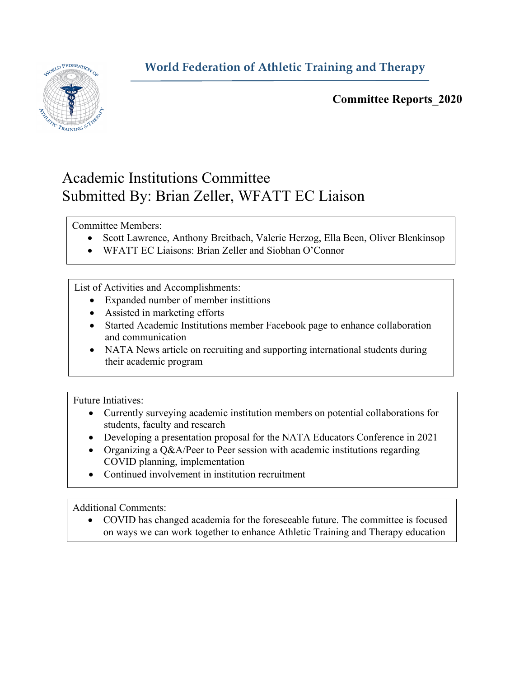## **World Federation of Athletic Training and Therapy**



**Committee Reports\_2020**

## Academic Institutions Committee Submitted By: Brian Zeller, WFATT EC Liaison

Committee Members:

- Scott Lawrence, Anthony Breitbach, Valerie Herzog, Ella Been, Oliver Blenkinsop
- WFATT EC Liaisons: Brian Zeller and Siobhan O'Connor

List of Activities and Accomplishments:

- Expanded number of member instittions
- Assisted in marketing efforts
- Started Academic Institutions member Facebook page to enhance collaboration and communication
- NATA News article on recruiting and supporting international students during their academic program

Future Intiatives:

- Currently surveying academic institution members on potential collaborations for students, faculty and research
- Developing a presentation proposal for the NATA Educators Conference in 2021
- Organizing a Q&A/Peer to Peer session with academic institutions regarding COVID planning, implementation
- Continued involvement in institution recruitment

Additional Comments:

• COVID has changed academia for the foreseeable future. The committee is focused on ways we can work together to enhance Athletic Training and Therapy education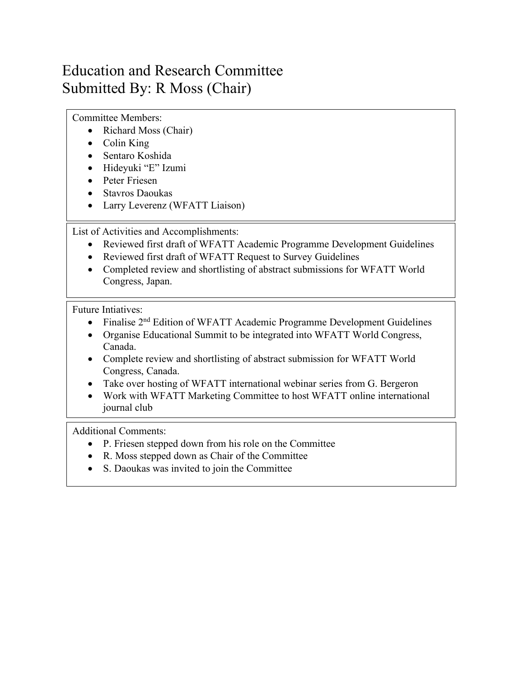## Education and Research Committee Submitted By: R Moss (Chair)

Committee Members:

- Richard Moss (Chair)
- Colin King
- Sentaro Koshida
- Hideyuki "E" Izumi
- Peter Friesen
- Stavros Daoukas
- Larry Leverenz (WFATT Liaison)

List of Activities and Accomplishments:

- Reviewed first draft of WFATT Academic Programme Development Guidelines
- Reviewed first draft of WFATT Request to Survey Guidelines
- Completed review and shortlisting of abstract submissions for WFATT World Congress, Japan.

Future Intiatives:

- Finalise 2<sup>nd</sup> Edition of WFATT Academic Programme Development Guidelines
- Organise Educational Summit to be integrated into WFATT World Congress, Canada.
- Complete review and shortlisting of abstract submission for WFATT World Congress, Canada.
- Take over hosting of WFATT international webinar series from G. Bergeron
- Work with WFATT Marketing Committee to host WFATT online international journal club

Additional Comments:

- P. Friesen stepped down from his role on the Committee
- R. Moss stepped down as Chair of the Committee
- S. Daoukas was invited to join the Committee